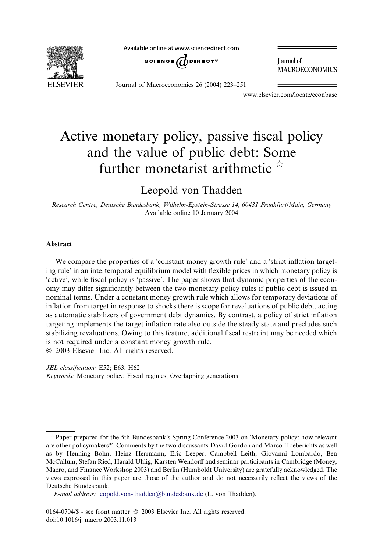**ELSEVIER** 

Available online at www.sciencedirect.com



**Journal** of **MACROECONOMICS** 

Journal of Macroeconomics 26 (2004) 223–251

www.elsevier.com/locate/econbase

# Active monetary policy, passive fiscal policy and the value of public debt: Some further monetarist arithmetic  $\overrightarrow{x}$

### Leopold von Thadden

Research Centre, Deutsche Bundesbank, Wilhelm-Epstein-Strasse 14, 60431 Frankfurt/Main, Germany Available online 10 January 2004

#### Abstract

We compare the properties of a 'constant money growth rule' and a 'strict inflation targeting rule' in an intertemporal equilibrium model with flexible prices in which monetary policy is active', while fiscal policy is 'passive'. The paper shows that dynamic properties of the economy may differ significantly between the two monetary policy rules if public debt is issued in nominal terms. Under a constant money growth rule which allows for temporary deviations of inflation from target in response to shocks there is scope for revaluations of public debt, acting as automatic stabilizers of government debt dynamics. By contrast, a policy of strict inflation targeting implements the target inflation rate also outside the steady state and precludes such stabilizing revaluations. Owing to this feature, additional fiscal restraint may be needed which is not required under a constant money growth rule. 2003 Elsevier Inc. All rights reserved.

JEL classification: E52; E63; H62 Keywords: Monetary policy; Fiscal regimes; Overlapping generations

 $\dot{\gamma}$  Paper prepared for the 5th Bundesbank's Spring Conference 2003 on 'Monetary policy: how relevant are other policymakers?'. Comments by the two discussants David Gordon and Marco Hoeberichts as well as by Henning Bohn, Heinz Herrmann, Eric Leeper, Campbell Leith, Giovanni Lombardo, Ben McCallum, Stefan Ried, Harald Uhlig, Karsten Wendorff and seminar participants in Cambridge (Money, Macro, and Finance Workshop 2003) and Berlin (Humboldt University) are gratefully acknowledged. The views expressed in this paper are those of the author and do not necessarily reflect the views of the Deutsche Bundesbank.

E-mail address: [leopold.von-thadden@bundesbank.de](mail to: leopold.von-thadden@bundesbank.de) (L. von Thadden).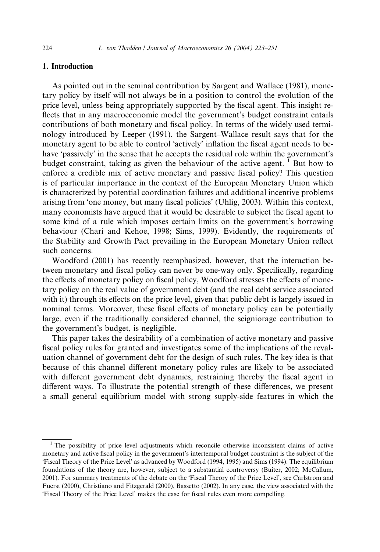### 1. Introduction

As pointed out in the seminal contribution by Sargent and Wallace (1981), monetary policy by itself will not always be in a position to control the evolution of the price level, unless being appropriately supported by the fiscal agent. This insight reflects that in any macroeconomic model the government's budget constraint entails contributions of both monetary and fiscal policy. In terms of the widely used terminology introduced by Leeper (1991), the Sargent–Wallace result says that for the monetary agent to be able to control 'actively' inflation the fiscal agent needs to behave 'passively' in the sense that he accepts the residual role within the government's budget constraint, taking as given the behaviour of the active agent.  $<sup>1</sup>$  But how to</sup> enforce a credible mix of active monetary and passive fiscal policy? This question is of particular importance in the context of the European Monetary Union which is characterized by potential coordination failures and additional incentive problems arising from 'one money, but many fiscal policies' (Uhlig, 2003). Within this context, many economists have argued that it would be desirable to subject the fiscal agent to some kind of a rule which imposes certain limits on the government's borrowing behaviour (Chari and Kehoe, 1998; Sims, 1999). Evidently, the requirements of the Stability and Growth Pact prevailing in the European Monetary Union reflect such concerns.

Woodford (2001) has recently reemphasized, however, that the interaction between monetary and fiscal policy can never be one-way only. Specifically, regarding the effects of monetary policy on fiscal policy, Woodford stresses the effects of monetary policy on the real value of government debt (and the real debt service associated with it) through its effects on the price level, given that public debt is largely issued in nominal terms. Moreover, these fiscal effects of monetary policy can be potentially large, even if the traditionally considered channel, the seigniorage contribution to the government's budget, is negligible.

This paper takes the desirability of a combination of active monetary and passive fiscal policy rules for granted and investigates some of the implications of the revaluation channel of government debt for the design of such rules. The key idea is that because of this channel different monetary policy rules are likely to be associated with different government debt dynamics, restraining thereby the fiscal agent in different ways. To illustrate the potential strength of these differences, we present a small general equilibrium model with strong supply-side features in which the

<sup>&</sup>lt;sup>1</sup> The possibility of price level adjustments which reconcile otherwise inconsistent claims of active monetary and active fiscal policy in the government's intertemporal budget constraint is the subject of the Fiscal Theory of the Price Level' as advanced by Woodford (1994, 1995) and Sims (1994). The equilibrium foundations of the theory are, however, subject to a substantial controversy (Buiter, 2002; McCallum, 2001). For summary treatments of the debate on the Fiscal Theory of the Price Level', see Carlstrom and Fuerst (2000), Christiano and Fitzgerald (2000), Bassetto (2002). In any case, the view associated with the Fiscal Theory of the Price Level' makes the case for fiscal rules even more compelling.